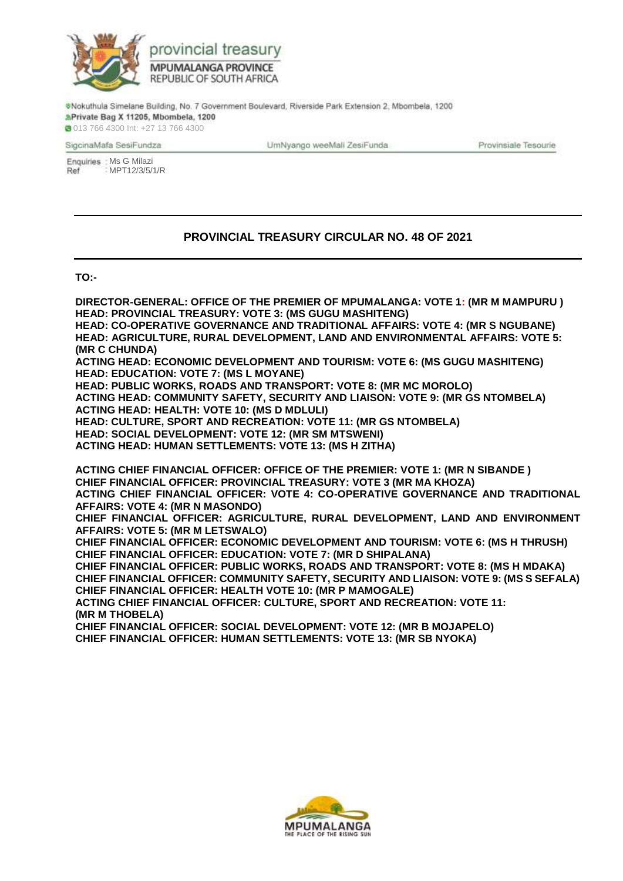

@Nokuthula Simelane Building, No. 7 Government Boulevard, Riverside Park Extension 2, Mbombela, 1200 APrivate Bag X 11205, Mbombela, 1200

**0013 766 4300 Int: +27 13 766 4300** 

SigcinaMafa SesiFundza

UmNyango weeMali ZesiFunda

Provinsiale Tesourie

Enquiries : Ms G Milazi MPT12/3/5/1/RRef

## **PROVINCIAL TREASURY CIRCULAR NO. 48 OF 2021**

## **TO:-**

**DIRECTOR-GENERAL: OFFICE OF THE PREMIER OF MPUMALANGA: VOTE 1: (MR M MAMPURU ) HEAD: PROVINCIAL TREASURY: VOTE 3: (MS GUGU MASHITENG) HEAD: CO-OPERATIVE GOVERNANCE AND TRADITIONAL AFFAIRS: VOTE 4: (MR S NGUBANE) HEAD: AGRICULTURE, RURAL DEVELOPMENT, LAND AND ENVIRONMENTAL AFFAIRS: VOTE 5: (MR C CHUNDA) ACTING HEAD: ECONOMIC DEVELOPMENT AND TOURISM: VOTE 6: (MS GUGU MASHITENG) HEAD: EDUCATION: VOTE 7: (MS L MOYANE) HEAD: PUBLIC WORKS, ROADS AND TRANSPORT: VOTE 8: (MR MC MOROLO) ACTING HEAD: COMMUNITY SAFETY, SECURITY AND LIAISON: VOTE 9: (MR GS NTOMBELA) ACTING HEAD: HEALTH: VOTE 10: (MS D MDLULI) HEAD: CULTURE, SPORT AND RECREATION: VOTE 11: (MR GS NTOMBELA) HEAD: SOCIAL DEVELOPMENT: VOTE 12: (MR SM MTSWENI) ACTING HEAD: HUMAN SETTLEMENTS: VOTE 13: (MS H ZITHA) ACTING CHIEF FINANCIAL OFFICER: OFFICE OF THE PREMIER: VOTE 1: (MR N SIBANDE ) CHIEF FINANCIAL OFFICER: PROVINCIAL TREASURY: VOTE 3 (MR MA KHOZA) ACTING CHIEF FINANCIAL OFFICER: VOTE 4: CO-OPERATIVE GOVERNANCE AND TRADITIONAL AFFAIRS: VOTE 4: (MR N MASONDO) CHIEF FINANCIAL OFFICER: AGRICULTURE, RURAL DEVELOPMENT, LAND AND ENVIRONMENT AFFAIRS: VOTE 5: (MR M LETSWALO) CHIEF FINANCIAL OFFICER: ECONOMIC DEVELOPMENT AND TOURISM: VOTE 6: (MS H THRUSH) CHIEF FINANCIAL OFFICER: EDUCATION: VOTE 7: (MR D SHIPALANA) CHIEF FINANCIAL OFFICER: PUBLIC WORKS, ROADS AND TRANSPORT: VOTE 8: (MS H MDAKA) CHIEF FINANCIAL OFFICER: COMMUNITY SAFETY, SECURITY AND LIAISON: VOTE 9: (MS S SEFALA) CHIEF FINANCIAL OFFICER: HEALTH VOTE 10: (MR P MAMOGALE) ACTING CHIEF FINANCIAL OFFICER: CULTURE, SPORT AND RECREATION: VOTE 11: (MR M THOBELA) CHIEF FINANCIAL OFFICER: SOCIAL DEVELOPMENT: VOTE 12: (MR B MOJAPELO) CHIEF FINANCIAL OFFICER: HUMAN SETTLEMENTS: VOTE 13: (MR SB NYOKA)**